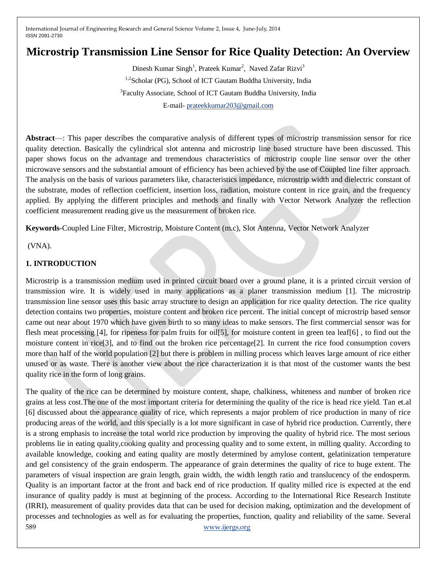# **Microstrip Transmission Line Sensor for Rice Quality Detection: An Overview**

Dinesh Kumar Singh<sup>1</sup>, Prateek Kumar<sup>2</sup>, Naved Zafar Rizvi<sup>3</sup> <sup>1,2</sup> Scholar (PG), School of ICT Gautam Buddha University, India <sup>3</sup> Faculty Associate, School of ICT Gautam Buddha University, India E-mail- [prateekkumar203@gmail.com](mailto:prateekkumar203@gmail.com)

**Abstract**—: This paper describes the comparative analysis of different types of microstrip transmission sensor for rice quality detection. Basically the cylindrical slot antenna and microstrip line based structure have been discussed. This paper shows focus on the advantage and tremendous characteristics of microstrip couple line sensor over the other microwave sensors and the substantial amount of efficiency has been achieved by the use of Coupled line filter approach. The analysis on the basis of various parameters like, characteristics impedance, microstrip width and dielectric constant of the substrate, modes of reflection coefficient, insertion loss, radiation, moisture content in rice grain, and the frequency applied. By applying the different principles and methods and finally with Vector Network Analyzer the reflection coefficient measurement reading give us the measurement of broken rice.

**Keywords**-Coupled Line Filter, Microstrip, Moisture Content (m.c), Slot Antenna, Vector Network Analyzer

(VNA).

# **1. INTRODUCTION**

Microstrip is a transmission medium used in printed circuit board over a ground plane, it is a printed circuit version of transmission wire. It is widely used in many applications as a planer transmission medium [1]. The microstrip transmission line sensor uses this basic array structure to design an application for rice quality detection. The rice quality detection contains two properties, moisture content and broken rice percent. The initial concept of microstrip based sensor came out near about 1970 which have given birth to so many ideas to make sensors. The first commercial sensor was for flesh meat processing [4], for ripeness for palm fruits for oil[5], for moisture content in green tea leaf[6] , to find out the moisture content in rice[3], and to find out the broken rice percentage[2]. In current the rice food consumption covers more than half of the world population [2] but there is problem in milling process which leaves large amount of rice either unused or as waste. There is another view about the rice characterization it is that most of the customer wants the best quality rice in the form of long grains.

589 [www.ijergs.org](http://www.ijergs.org/) The quality of the rice can be determined by moisture content, shape, chalkiness, whiteness and number of broken rice grains at less cost.The one of the most important criteria for determining the quality of the rice is head rice yield. Tan et.al [6] discussed about the appearance quality of rice, which represents a major problem of rice production in many of rice producing areas of the world, and this specially is a lot more significant in case of hybrid rice production. Currently, there is a strong emphasis to increase the total world rice production by improving the quality of hybrid rice. The most serious problems lie in eating quality,cooking quality and processing quality and to some extent, in milling quality. According to available knowledge, cooking and eating quality are mostly determined by amylose content, gelatinization temperature and gel consistency of the grain endosperm. The appearance of grain determines the quality of rice to huge extent. The parameters of visual inspection are grain length, grain width, the width length ratio and translucency of the endosperm. Quality is an important factor at the front and back end of rice production. If quality milled rice is expected at the end insurance of quality paddy is must at beginning of the process. According to the International Rice Research Institute (IRRI), measurement of quality provides data that can be used for decision making, optimization and the development of processes and technologies as well as for evaluating the properties, function, quality and reliability of the same. Several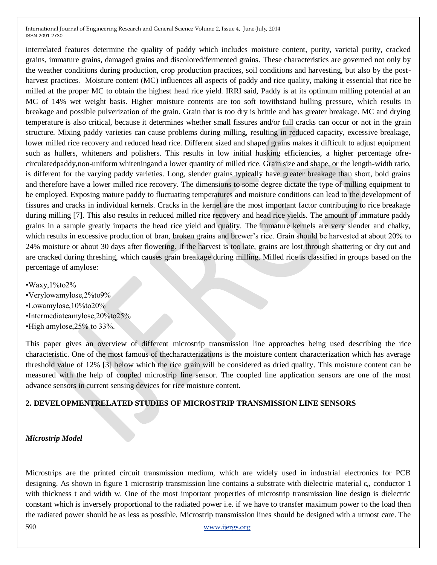interrelated features determine the quality of paddy which includes moisture content, purity, varietal purity, cracked grains, immature grains, damaged grains and discolored/fermented grains. These characteristics are governed not only by the weather conditions during production, crop production practices, soil conditions and harvesting, but also by the postharvest practices. Moisture content (MC) influences all aspects of paddy and rice quality, making it essential that rice be milled at the proper MC to obtain the highest head rice yield. IRRI said, Paddy is at its optimum milling potential at an MC of 14% wet weight basis. Higher moisture contents are too soft towithstand hulling pressure, which results in breakage and possible pulverization of the grain. Grain that is too dry is brittle and has greater breakage. MC and drying temperature is also critical, because it determines whether small fissures and/or full cracks can occur or not in the grain structure. Mixing paddy varieties can cause problems during milling, resulting in reduced capacity, excessive breakage, lower milled rice recovery and reduced head rice. Different sized and shaped grains makes it difficult to adjust equipment such as hullers, whiteners and polishers. This results in low initial husking efficiencies, a higher percentage ofrecirculatedpaddy,non-uniform whiteningand a lower quantity of milled rice. Grain size and shape, or the length-width ratio, is different for the varying paddy varieties. Long, slender grains typically have greater breakage than short, bold grains and therefore have a lower milled rice recovery. The dimensions to some degree dictate the type of milling equipment to be employed. Exposing mature paddy to fluctuating temperatures and moisture conditions can lead to the development of fissures and cracks in individual kernels. Cracks in the kernel are the most important factor contributing to rice breakage during milling [7]. This also results in reduced milled rice recovery and head rice yields. The amount of immature paddy grains in a sample greatly impacts the head rice yield and quality. The immature kernels are very slender and chalky, which results in excessive production of bran, broken grains and brewer's rice. Grain should be harvested at about 20% to 24% moisture or about 30 days after flowering. If the harvest is too late, grains are lost through shattering or dry out and are cracked during threshing, which causes grain breakage during milling. Milled rice is classified in groups based on the percentage of amylose:

•Waxy,1%to2% •Verylowamylose,2%to9% •Lowamylose,10%to20% •Intermediateamylose,20%to25% •High amylose,25% to 33%.

This paper gives an overview of different microstrip transmission line approaches being used describing the rice characteristic. One of the most famous of thecharacterizations is the moisture content characterization which has average threshold value of 12% [3] below which the rice grain will be considered as dried quality. This moisture content can be measured with the help of coupled microstrip line sensor. The coupled line application sensors are one of the most advance sensors in current sensing devices for rice moisture content.

## **2. DEVELOPMENTRELATED STUDIES OF MICROSTRIP TRANSMISSION LINE SENSORS**

## *Microstrip Model*

Microstrips are the printed circuit transmission medium, which are widely used in industrial electronics for PCB designing. As shown in figure 1 microstrip transmission line contains a substrate with dielectric material  $\varepsilon_r$ , conductor 1 with thickness t and width w. One of the most important properties of microstrip transmission line design is dielectric constant which is inversely proportional to the radiated power i.e. if we have to transfer maximum power to the load then the radiated power should be as less as possible. Microstrip transmission lines should be designed with a utmost care. The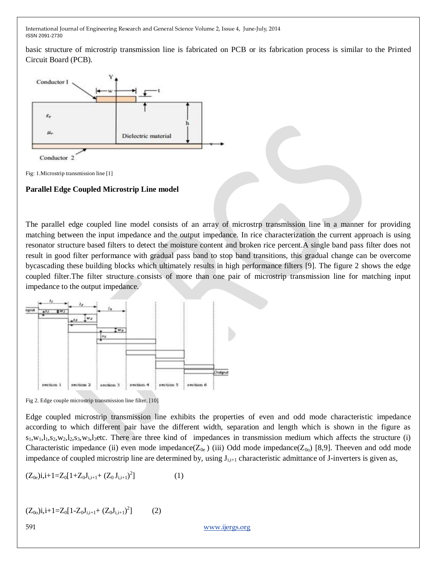basic structure of microstrip transmission line is fabricated on PCB or its fabrication process is similar to the Printed Circuit Board (PCB).



Fig: 1.Microstrip transmission line [1]

#### **Parallel Edge Coupled Microstrip Line model**

The parallel edge coupled line model consists of an array of microstrp transmission line in a manner for providing matching between the input impedance and the output impedance. In rice characterization the current approach is using resonator structure based filters to detect the moisture content and broken rice percent.A single band pass filter does not result in good filter performance with gradual pass band to stop band transitions, this gradual change can be overcome bycascading these building blocks which ultimately results in high performance filters [9]. The figure 2 shows the edge coupled filter.The filter structure consists of more than one pair of microstrip transmission line for matching input impedance to the output impedance.





Edge coupled microstrip transmission line exhibits the properties of even and odd mode characteristic impedance according to which different pair have the different width, separation and length which is shown in the figure as  $s_1, w_1, l_1, s_2, w_2, l_2, s_3, w_3, l_3$ etc. There are three kind of impedances in transmission medium which affects the structure (i) Characteristic impedance (ii) even mode impedance( $Z_{0e}$ ) (iii) Odd mode impedance( $Z_{00}$ ) [8,9]. Theeven and odd mode impedance of coupled microstrip line are determined by, using  $J_{i,i+1}$  characteristic admittance of J-inverters is given as,

$$
(Z_{0e})i, i+1=Z_0[1+Z_0J_{i,i+1}+(Z_0J_{i,i+1})^2]
$$
 (1)

$$
(Z_{00})i, i+1=Z_0[1-Z_0J_{i,i+1}+(Z_0J_{i,i+1})^2]
$$
 (2)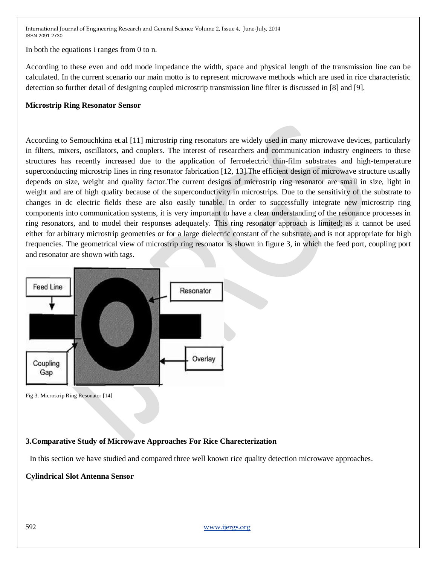In both the equations i ranges from 0 to n.

According to these even and odd mode impedance the width, space and physical length of the transmission line can be calculated. In the current scenario our main motto is to represent microwave methods which are used in rice characteristic detection so further detail of designing coupled microstrip transmission line filter is discussed in [8] and [9].

## **Microstrip Ring Resonator Sensor**

According to Semouchkina et.al [11] microstrip ring resonators are widely used in many microwave devices, particularly in filters, mixers, oscillators, and couplers. The interest of researchers and communication industry engineers to these structures has recently increased due to the application of ferroelectric thin-film substrates and high-temperature superconducting microstrip lines in ring resonator fabrication [12, 13].The efficient design of microwave structure usually depends on size, weight and quality factor.The current designs of microstrip ring resonator are small in size, light in weight and are of high quality because of the superconductivity in microstrips. Due to the sensitivity of the substrate to changes in dc electric fields these are also easily tunable. In order to successfully integrate new microstrip ring components into communication systems, it is very important to have a clear understanding of the resonance processes in ring resonators, and to model their responses adequately. This ring resonator approach is limited; as it cannot be used either for arbitrary microstrip geometries or for a large dielectric constant of the substrate, and is not appropriate for high frequencies. The geometrical view of microstrip ring resonator is shown in figure 3, in which the feed port, coupling port and resonator are shown with tags.



Fig 3. Microstrip Ring Resonator [14]

## **3.Comparative Study of Microwave Approaches For Rice Charecterization**

In this section we have studied and compared three well known rice quality detection microwave approaches.

#### **Cylindrical Slot Antenna Sensor**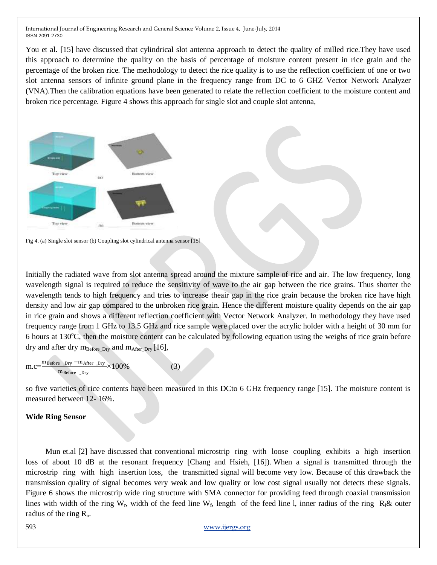You et al. [15] have discussed that cylindrical slot antenna approach to detect the quality of milled rice.They have used this approach to determine the quality on the basis of percentage of moisture content present in rice grain and the percentage of the broken rice. The methodology to detect the rice quality is to use the reflection coefficient of one or two slot antenna sensors of infinite ground plane in the frequency range from DC to 6 GHZ Vector Network Analyzer (VNA).Then the calibration equations have been generated to relate the reflection coefficient to the moisture content and broken rice percentage. Figure 4 shows this approach for single slot and couple slot antenna,



Fig 4. (a) Single slot sensor (b) Coupling slot cylindrical antenna sensor [15]

Initially the radiated wave from slot antenna spread around the mixture sample of rice and air. The low frequency, long wavelength signal is required to reduce the sensitivity of wave to the air gap between the rice grains. Thus shorter the wavelength tends to high frequency and tries to increase theair gap in the rice grain because the broken rice have high density and low air gap compared to the unbroken rice grain. Hence the different moisture quality depends on the air gap in rice grain and shows a different reflection coefficient with Vector Network Analyzer. In methodology they have used frequency range from 1 GHz to 13.5 GHz and rice sample were placed over the acrylic holder with a height of 30 mm for 6 hours at  $130^{\circ}$ C, then the moisture content can be calculated by following equation using the weighs of rice grain before dry and after dry  $m_{Before-Dry}$  and  $m_{After-Dry}$  [16],

$$
m.c=\frac{m_{Before\_Dry}-m_{After\_Dry}}{m_{Before\_Dry}} \times 100\%
$$
 (3)

so five varieties of rice contents have been measured in this DCto 6 GHz frequency range [15]. The moisture content is measured between 12- 16%.

#### **Wide Ring Sensor**

 Mun et.al [2] have discussed that conventional microstrip ring with loose coupling exhibits a high insertion loss of about 10 dB at the resonant frequency [Chang and Hsieh, [16]). When a signal is transmitted through the microstrip ring with high insertion loss, the transmitted signal will become very low. Because of this drawback the transmission quality of signal becomes very weak and low quality or low cost signal usually not detects these signals. Figure 6 shows the microstrip wide ring structure with SMA connector for providing feed through coaxial transmission lines with width of the ring  $W_r$ , width of the feed line  $W_f$ , length of the feed line l, inner radius of the ring  $R_i \&$  outer radius of the ring  $R_{\rm o}$ .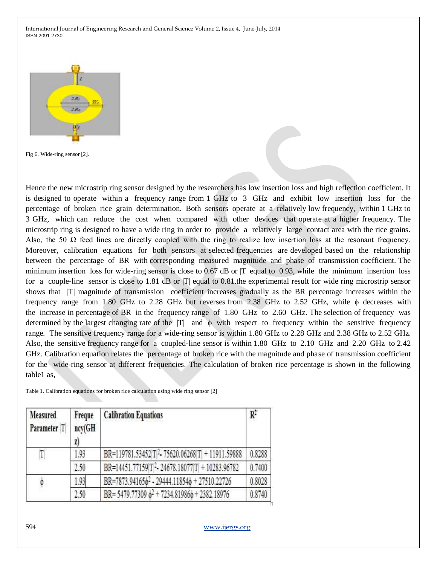

Fig 6. Wide-ring sensor [2].

Hence the new microstrip ring sensor designed by the researchers has low insertion loss and high reflection coefficient. It is designed to operate within a frequency range from 1 GHz to 3 GHz and exhibit low insertion loss for the percentage of broken rice grain determination. Both sensors operate at a relatively low frequency, within 1 GHz to 3 GHz, which can reduce the cost when compared with other devices that operate at a higher frequency. The microstrip ring is designed to have a wide ring in order to provide a relatively large contact area with the rice grains. Also, the 50  $\Omega$  feed lines are directly coupled with the ring to realize low insertion loss at the resonant frequency. Moreover, calibration equations for both sensors at selected frequencies are developed based on the relationship between the percentage of BR with corresponding measured magnitude and phase of transmission coefficient. The minimum insertion loss for wide-ring sensor is close to 0.67 dB or |T| equal to 0.93, while the minimum insertion loss for a couple-line sensor is close to 1.81 dB or  $|T|$  equal to 0.81 the experimental result for wide ring microstrip sensor shows that  $|T|$  magnitude of transmission coefficient increases gradually as the BR percentage increases within the frequency range from 1.80 GHz to 2.28 GHz but reverses from 2.38 GHz to 2.52 GHz, while  $\phi$  decreases with the increase in percentage of BR in the frequency range of 1.80 GHz to 2.60 GHz. The selection of frequency was determined by the largest changing rate of the  $|T|$  and  $\phi$  with respect to frequency within the sensitive frequency range. The sensitive frequency range for a wide-ring sensor is within 1.80 GHz to 2.28 GHz and 2.38 GHz to 2.52 GHz. Also, the sensitive frequency range for a coupled-line sensor is within 1.80 GHz to 2.10 GHz and 2.20 GHz to 2.42 GHz. Calibration equation relates the percentage of broken rice with the magnitude and phase of transmission coefficient for the wide-ring sensor at different frequencies. The calculation of broken rice percentage is shown in the following table1 as,

Table 1. Calibration equations for broken rice calculation using wide ring sensor [2]

| Measured<br>Parameter T | Freque<br>ncy(GH<br>Z) | <b>Calibration Equations</b>                                        | $R^2$  |
|-------------------------|------------------------|---------------------------------------------------------------------|--------|
| T                       | 1.93                   | BR=119781.53452 T <sup>2</sup> -75620.06268 T + 11911.59888         | 0.8288 |
|                         | 2.50                   | BR=14451.77159 T 2-24678.18077 T  + 10283.96782                     | 0.7400 |
| $\phi$                  | 1.93                   | BR=7873.941656 <sup>2</sup> - 29444.118546 + 27510.22726            | 0.8028 |
|                         | 2.50                   | BR= 5479.77309 $\phi$ <sup>2</sup> + 7234.81986 $\phi$ + 2382.18976 | 0.8740 |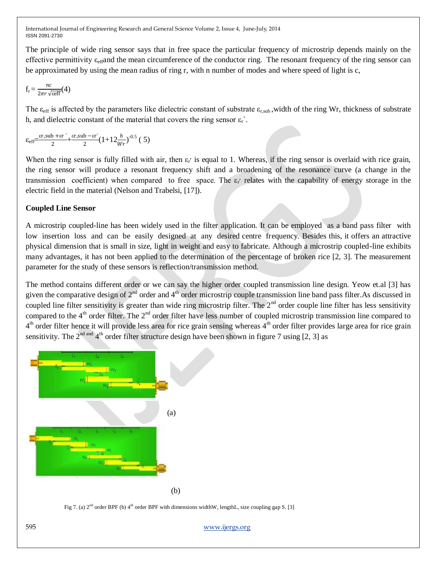The principle of wide ring sensor says that in free space the particular frequency of microstrip depends mainly on the effective permittivity  $\varepsilon_{\text{eff}}$  and the mean circumference of the conductor ring. The resonant frequency of the ring sensor can be approximated by using the mean radius of ring r, with n number of modes and where speed of light is c,

$$
f_r = \frac{nc}{2\pi r \sqrt{\text{seff}}}(4)
$$

The  $\varepsilon_{\rm eff}$  is affected by the parameters like dielectric constant of substrate  $\varepsilon_{\rm r, sub}$ , width of the ring Wr, thickness of substrate h, and dielectric constant of the material that covers the ring sensor  $\varepsilon_r$ .

$$
\varepsilon_{\text{eff}} = \frac{\varepsilon r, \text{sub} + \varepsilon r}{2} + \frac{\varepsilon r, \text{sub} - \varepsilon r}{2} (1 + 12 \frac{h}{Wr})^{-0.5} (5)
$$

When the ring sensor is fully filled with air, then  $\varepsilon$  is equal to 1. Whereas, if the ring sensor is overlaid with rice grain, the ring sensor will produce a resonant frequency shift and a broadening of the resonance curve (a change in the transmission coefficient) when compared to free space. The  $\varepsilon_r$  relates with the capability of energy storage in the electric field in the material (Nelson and Trabelsi, [17]).

# **Coupled Line Sensor**

A microstrip coupled-line has been widely used in the filter application. It can be employed as a band pass filter with low insertion loss and can be easily designed at any desired centre frequency. Besides this, it offers an attractive physical dimension that is small in size, light in weight and easy to fabricate. Although a microstrip coupled-line exhibits many advantages, it has not been applied to the determination of the percentage of broken rice [2, 3]. The measurement parameter for the study of these sensors is reflection/transmission method.

The method contains different order or we can say the higher order coupled transmission line design. Yeow et.al [3] has given the comparative design of  $2<sup>nd</sup>$  order and  $4<sup>th</sup>$  order microstrip couple transmission line band pass filter. As discussed in coupled line filter sensitivity is greater than wide ring microstrip filter. The 2<sup>nd</sup> order couple line filter has less sensitivity compared to the  $4<sup>th</sup>$  order filter. The  $2<sup>nd</sup>$  order filter have less number of coupled microstrip transmission line compared to  $4<sup>th</sup>$  order filter hence it will provide less area for rice grain sensing whereas  $4<sup>th</sup>$  order filter provides large area for rice grain sensitivity. The 2<sup>nd and</sup> 4<sup>th</sup> order filter structure design have been shown in figure 7 using [2, 3] as



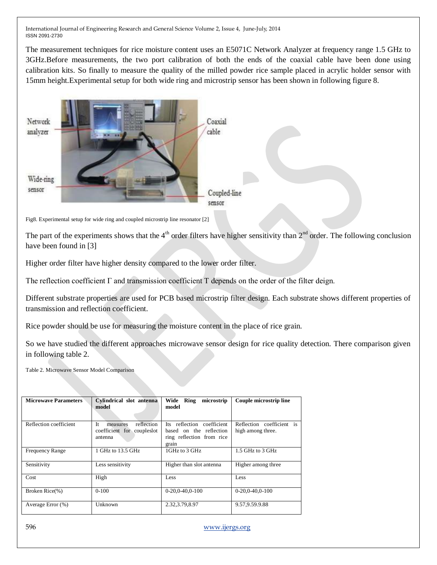The measurement techniques for rice moisture content uses an E5071C Network Analyzer at frequency range 1.5 GHz to 3GHz.Before measurements, the two port calibration of both the ends of the coaxial cable have been done using calibration kits. So finally to measure the quality of the milled powder rice sample placed in acrylic holder sensor with 15mm height.Experimental setup for both wide ring and microstrip sensor has been shown in following figure 8.



Fig8. Experimental setup for wide ring and coupled microstrip line resonator [2]

The part of the experiments shows that the  $4<sup>th</sup>$  order filters have higher sensitivity than  $2<sup>nd</sup>$  order. The following conclusion have been found in [3]

Higher order filter have higher density compared to the lower order filter.

The reflection coefficient  $\Gamma$  and transmission coefficient  $\Gamma$  depends on the order of the filter deign.

Different substrate properties are used for PCB based microstrip filter design. Each substrate shows different properties of transmission and reflection coefficient.

Rice powder should be use for measuring the moisture content in the place of rice grain.

So we have studied the different approaches microwave sensor design for rice quality detection. There comparison given in following table 2.

Table 2. Microwave Sensor Model Comparison

| <b>Microwave Parameters</b> | Cylindrical slot antenna<br>model                                       | Wide<br>Ring<br>microstrip<br>model                                                         | Couple microstrip line                         |
|-----------------------------|-------------------------------------------------------------------------|---------------------------------------------------------------------------------------------|------------------------------------------------|
| Reflection coefficient      | Tt.<br>reflection<br>measures<br>coefficient for couples lot<br>antenna | Its reflection coefficient<br>based on the reflection<br>ring reflection from rice<br>grain | Reflection coefficient is<br>high among three. |
| <b>Frequency Range</b>      | 1 GHz to 13.5 GHz                                                       | 1GHz to 3 GHz                                                                               | 1.5 GHz to 3 GHz                               |
| Sensitivity                 | Less sensitivity                                                        | Higher than slot antenna                                                                    | Higher among three                             |
| Cost                        | High                                                                    | Less                                                                                        | Less                                           |
| Broken Rice(%)              | $0-100$                                                                 | $0-20.0-40.0-100$                                                                           | $0-20.0-40.0-100$                              |
| Average Error (%)           | Unknown                                                                 | 2.32, 3.79, 8.97                                                                            | 9.57, 9.59. 9.88                               |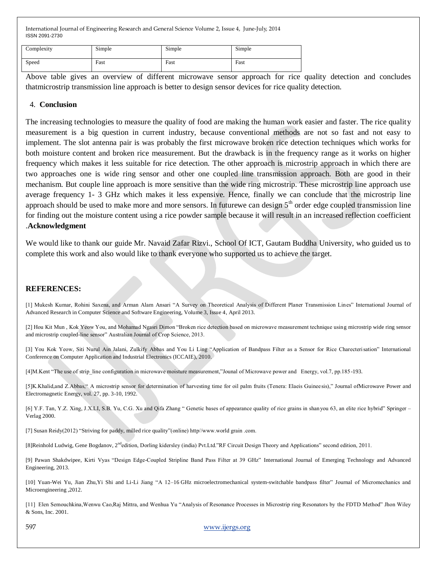| Complexity | Simple | Simple | Simple |
|------------|--------|--------|--------|
| Speed      | Fast   | Fast   | Fast   |

Above table gives an overview of different microwave sensor approach for rice quality detection and concludes thatmicrostrip transmission line approach is better to design sensor devices for rice quality detection.

#### 4. **Conclusion**

The increasing technologies to measure the quality of food are making the human work easier and faster. The rice quality measurement is a big question in current industry, because conventional methods are not so fast and not easy to implement. The slot antenna pair is was probably the first microwave broken rice detection techniques which works for both moisture content and broken rice measurement. But the drawback is in the frequency range as it works on higher frequency which makes it less suitable for rice detection. The other approach is microstrip approach in which there are two approaches one is wide ring sensor and other one coupled line transmission approach. Both are good in their mechanism. But couple line approach is more sensitive than the wide ring microstrip. These microstrip line approach use average frequency 1- 3 GHz which makes it less expensive. Hence, finally we can conclude that the microstrip line approach should be used to make more and more sensors. In futurewe can design  $5<sup>th</sup>$  order edge coupled transmission line for finding out the moisture content using a rice powder sample because it will result in an increased reflection coefficient .**Acknowledgment**

We would like to thank our guide Mr. Navaid Zafar Rizvi., School Of ICT, Gautam Buddha University, who guided us to complete this work and also would like to thank everyone who supported us to achieve the target.

## **REFERENCES:**

[1] Mukesh Kumar, Rohini Saxena, and Arman Alam Ansari "A Survey on Theoretical Analysis of Different Planer Transmission Lines" International Journal of Advanced Research in Computer Science and Software Engineering, Volume 3, Issue 4, April 2013.

[2] Hou Kit Mun, Kok Yeow You, and Mohamad Ngasri Dimon "Broken rice detection based on microwave measurement technique using microstrip wide ring sensor and microstrip coupled-line sensor" Australian Journal of Crop Science, 2013.

[3] You Kok Yeow, Siti Nurul Ain Jalani, Zulkify Abbas and You Li Ling "Application of Bandpass Filter as a Sensor for Rice Charecterisation" International Conference on Computer Application and Industrial Electronics (ICCAIE), 2010.

[4]M.Kent "The use of strip\_line configuration in microwave moisture measurement,"Jounal of Microwave power and Energy, vol.7, pp.185-193.

[5]K.Khalid,and Z.Abbas," A microstrip sensor for determination of harvesting time for oil palm fruits (Tenera: Elaeis Guineesis)," Journal ofMicrowave Power and Electromagnetic Energy, vol. 27, pp. 3-10, 1992.

[6] Y.F. Tan, Y.Z. Xing, J.X.LI, S.B. Yu, C.G. Xu and Qifa Zhang " Genetic bases of appearance quality of rice grains in shanyou 63, an elite rice hybrid" Springer – Verlag 2000.

[7] Susan Reidy(2012) "Striving for paddy, milled rice quality"(online) http//www.world grain .com.

[8]Reinhold Ludwig, Gene Bogdanov, 2<sup>nd</sup>edition, Dorling kidersley (india) Pvt.Ltd."RF Circuit Design Theory and Applications" second edition, 2011.

[9] Pawan Shakdwipee, Kirti Vyas "Design Edge-Coupled Stripline Band Pass Filter at 39 GHz" International Journal of Emerging Technology and Advanced Engineering, 2013.

[10] Yuan-Wei Yu, Jian Zhu, Yi Shi and Li-Li Jiang "A 12-16 GHz microelectromechanical system-switchable bandpass filter" Journal of Micromechanics and Microengineering ,2012.

[11] Elen Semouchkina, Wenwu Cao, Raj Mittra, and Wenhua Yu "Analysis of Resonance Processes in Microstrip ring Resonators by the FDTD Method" Jhon Wiley & Sons, Inc. 2001.